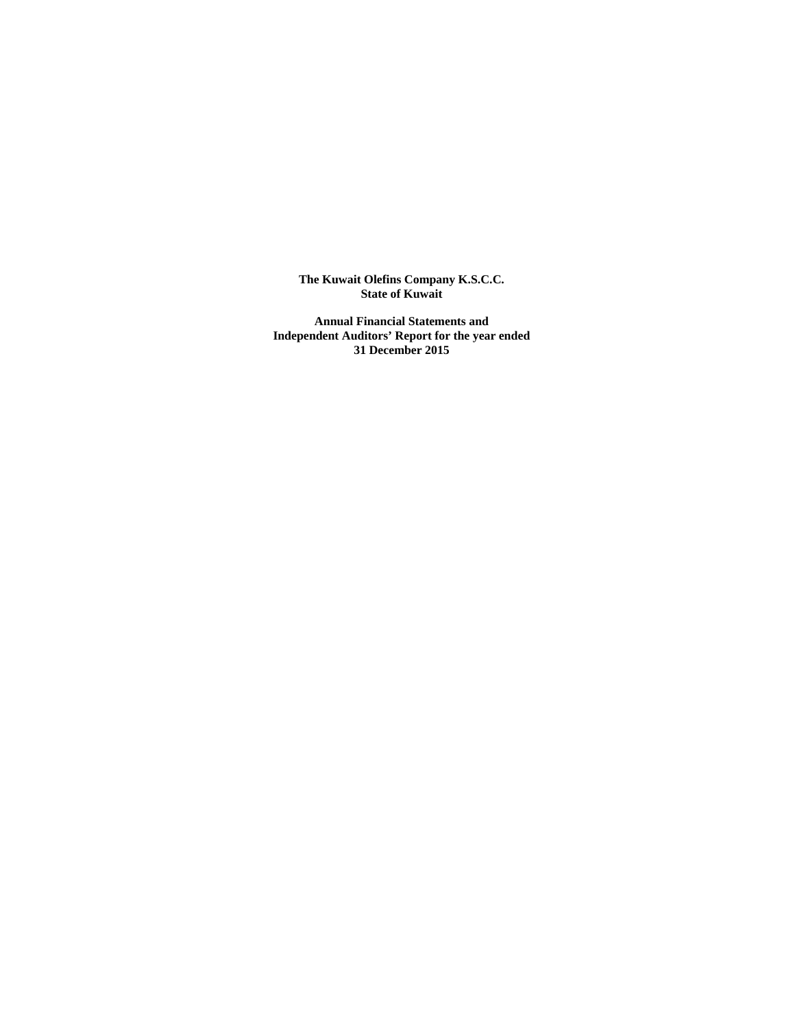**The Kuwait Olefins Company K.S.C.C. State of Kuwait** 

**Annual Financial Statements and Independent Auditors' Report for the year ended 31 December 2015**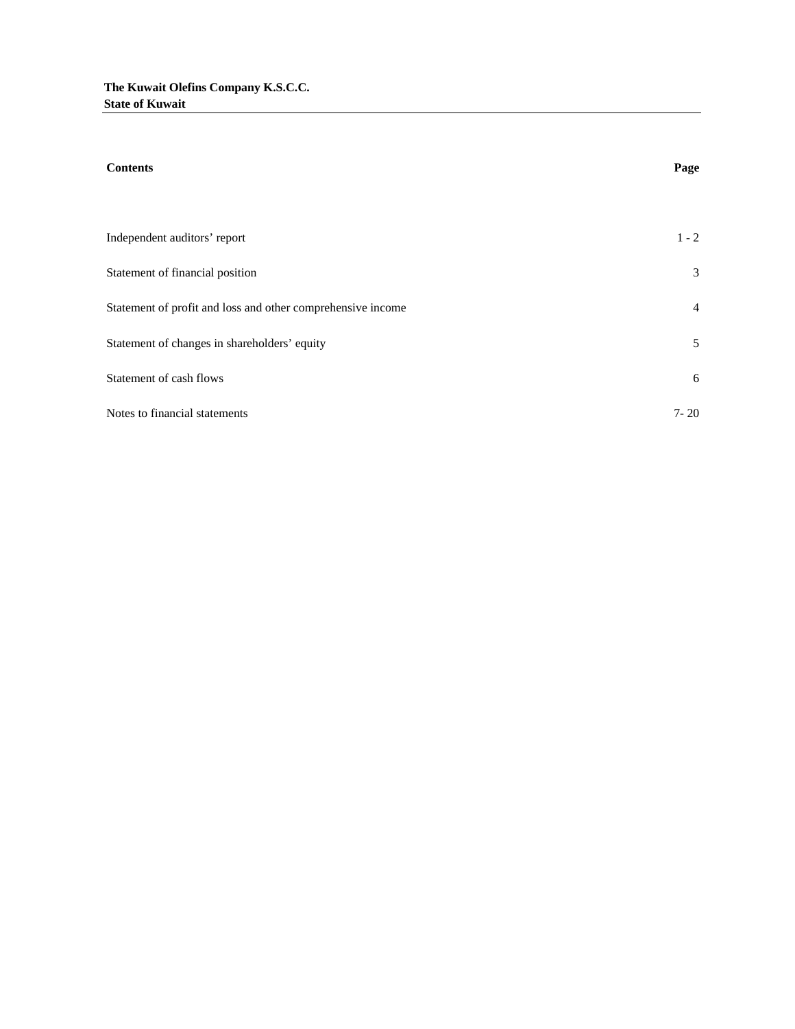| <b>Contents</b>                                             | Page           |
|-------------------------------------------------------------|----------------|
|                                                             |                |
| Independent auditors' report                                | $1 - 2$        |
| Statement of financial position                             | 3              |
| Statement of profit and loss and other comprehensive income | $\overline{4}$ |
| Statement of changes in shareholders' equity                | 5              |
| Statement of cash flows                                     | 6              |
| Notes to financial statements                               | $7 - 20$       |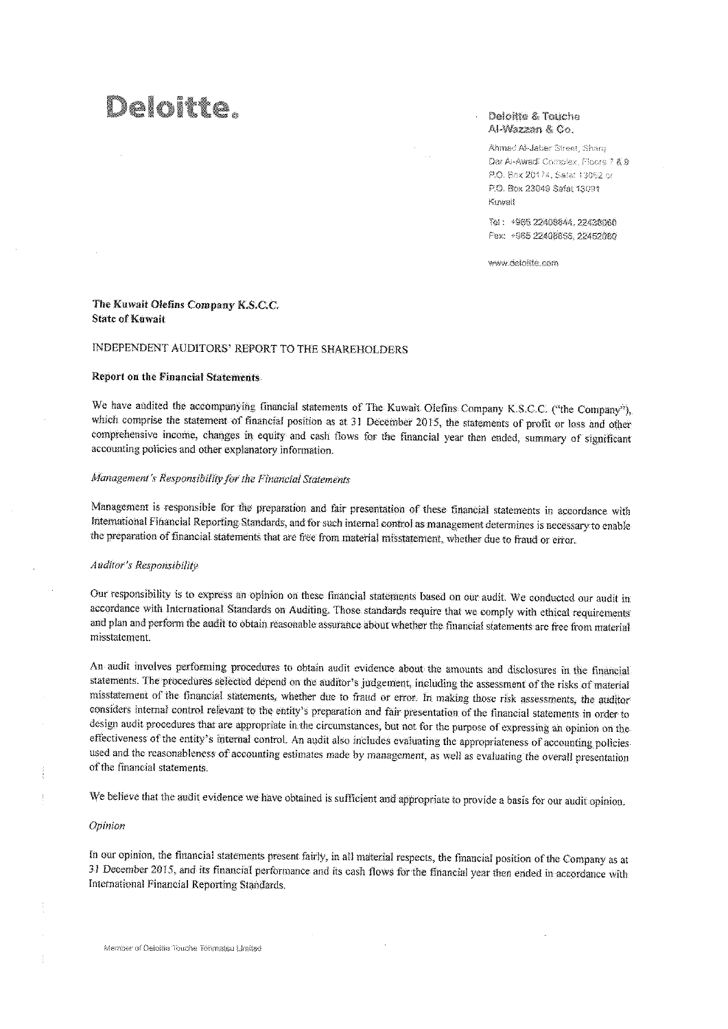# Deloitte.

#### Deloitte & Touche Al-Wazzan & Co.

Ahmed Al-Jaber Street, Sharq Dar Al-Awadi Complex, Floors 7 & 9 P.O. Box 20174, Safat 13062 or P.O. Box 23049 Safat 13091 Kowait

Tel: +965 22408844, 22438060 Fax: +965 22408855, 22452080

www.delaitte.com

## The Kuwait Olefins Company K.S.C.C. **State of Kuwait**

# INDEPENDENT AUDITORS' REPORT TO THE SHAREHOLDERS

#### **Report on the Financial Statements**

We have audited the accompanying financial statements of The Kuwait Olefins Company K.S.C.C. ("the Company"), which comprise the statement of financial position as at 31 December 2015, the statements of profit or loss and other comprehensive income, changes in equity and cash flows for the financial year then ended, summary of significant accounting policies and other explanatory information.

#### Management's Responsibility for the Financial Statements

Management is responsible for the preparation and fair presentation of these financial statements in accordance with International Financial Reporting Standards, and for such internal control as management determines is necessary to enable the preparation of financial statements that are free from material misstatement, whether due to fraud or error.

#### Auditor's Responsibility

Our responsibility is to express an opinion on these financial statements based on our audit. We conducted our audit in accordance with International Standards on Auditing. Those standards require that we comply with ethical requirements. and plan and perform the audit to obtain reasonable assurance about whether the financial statements are free from material misstatement.

An audit involves performing procedures to obtain audit evidence about the amounts and disclosures in the financial statements. The procedures selected depend on the auditor's judgement, including the assessment of the risks of material misstatement of the financial statements, whether due to fraud or error. In making those risk assessments, the auditor considers internal control relevant to the entity's preparation and fair presentation of the financial statements in order to design audit procedures that are appropriate in the circumstances, but not for the purpose of expressing an opinion on the effectiveness of the entity's internal control. An audit also includes evaluating the appropriateness of accounting policies used and the reasonableness of accounting estimates made by management, as well as evaluating the overall presentation of the financial statements.

We believe that the audit evidence we have obtained is sufficient and appropriate to provide a basis for our audit opinion.

#### Opinion

 $\frac{1}{4}$ 

In our opinion, the financial statements present fairly, in all material respects, the financial position of the Company as at 31 December 2015, and its financial performance and its cash flows for the financial year then ended in accordance with International Financial Reporting Standards.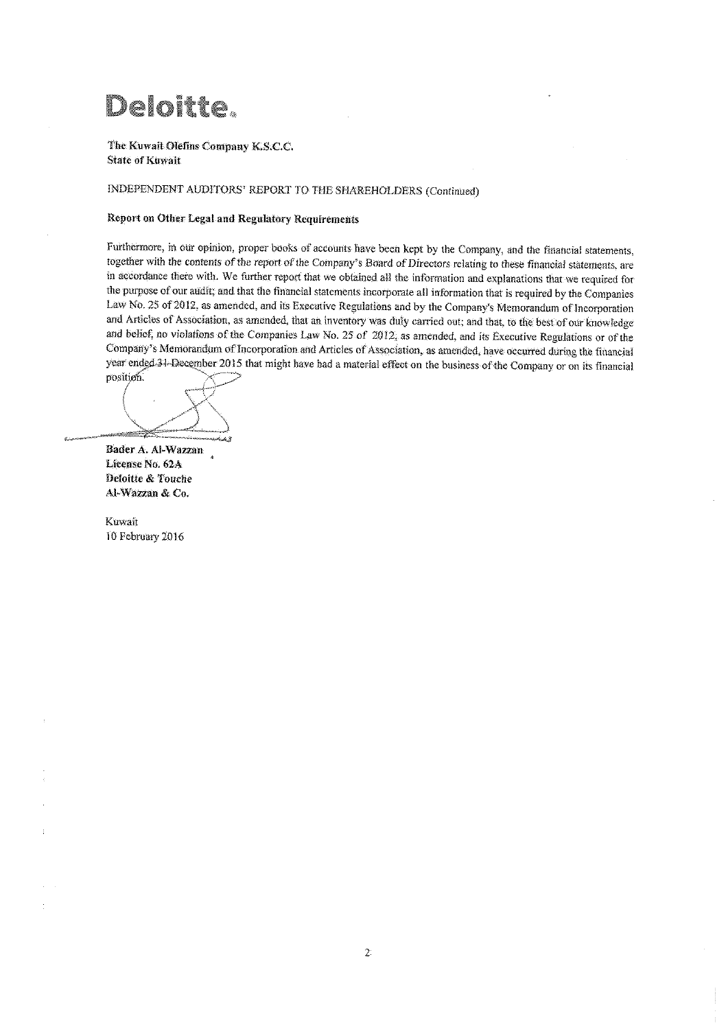# Deloitte.

The Kuwait Olefins Company K.S.C.C. **State of Kuwait** 

INDEPENDENT AUDITORS' REPORT TO THE SHAREHOLDERS (Continued)

#### Report on Other Legal and Regulatory Requirements

Furthermore, in our opinion, proper books of accounts have been kept by the Company, and the financial statements, together with the contents of the report of the Company's Board of Directors relating to these financial statements, are in accordance there with. We further report that we obtained all the information and explanations that we required for the purpose of our audit; and that the financial statements incorporate all information that is required by the Companies Law No. 25 of 2012, as amended, and its Executive Regulations and by the Company's Memorandum of Incorporation and Articles of Association, as amended, that an inventory was duly carried out; and that, to the best of our knowledge and belief, no violations of the Companies Law No. 25 of 2012, as amended, and its Executive Regulations or of the Company's Memorandum of Incorporation and Articles of Association, as amended, have occurred during the financial year ended 31 December 2015 that might have had a material effect on the business of the Company or on its financial position.

Bader A. Al-Wazzan License No. 62A Deloitte & Touche Al-Wazzan & Co.

Kuwait 10 February 2016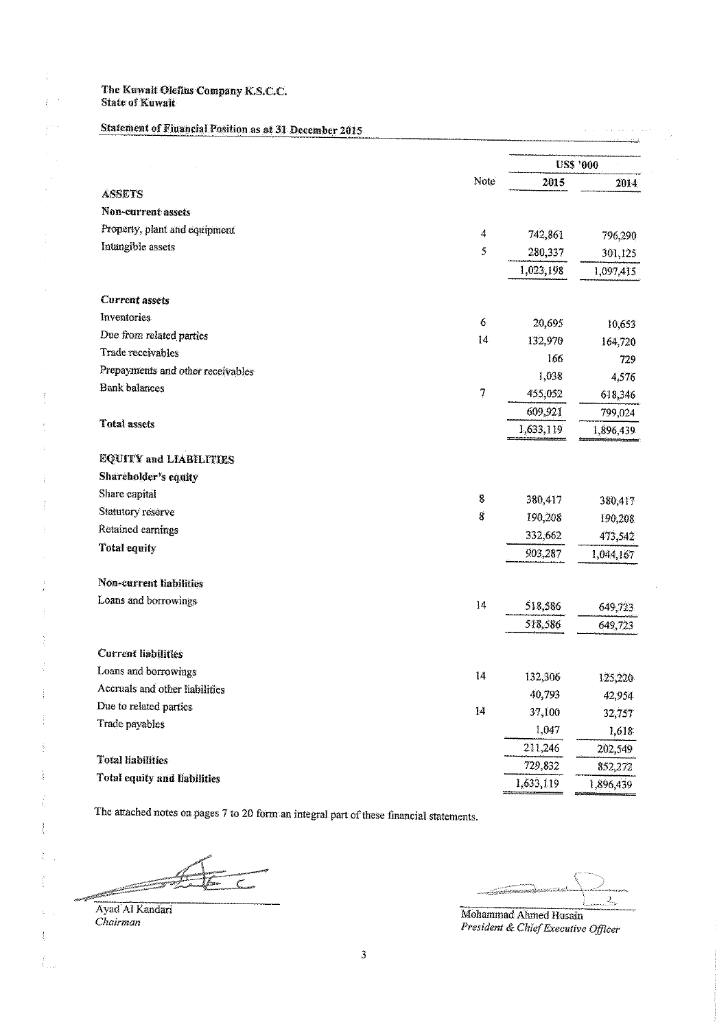The Kuwait Olefins Company K.S.C.C.<br>State of Kuwait

 $\frac{1}{3}$ 

 $\frac{2}{3}$  .

 $\int_0^{\frac{1}{2}x}$ 

# Statement of Financial Position as at 31 December 2015

|                                     |         |           | <b>USS '000</b> |
|-------------------------------------|---------|-----------|-----------------|
|                                     | Note    | 2015      | 2014            |
| <b>ASSETS</b>                       |         |           |                 |
| Non-current assets                  |         |           |                 |
| Property, plant and equipment       | 4       | 742,861   | 796,290         |
| Intangible assets                   | 5       | 280,337   | 301,125         |
|                                     |         | 1,023,198 | 1,097,415       |
|                                     |         |           |                 |
| <b>Current</b> assets               |         |           |                 |
| <b>Inventories</b>                  | 6       | 20,695    | 10,653          |
| Due from related parties            | $^{14}$ | 132,970   | 164,720         |
| Trade receivables                   |         | 166       | 729             |
| Prepayments and other receivables   |         | 1,038     | 4,576           |
| <b>Bank</b> balances                | 7       | 455,052   | 618,346         |
|                                     |         | 609,921   | 799,024         |
| <b>Total assets</b>                 |         | 1,633,119 | 1,896,439       |
|                                     |         |           |                 |
| <b>EQUITY and LEABILITIES</b>       |         |           |                 |
| Shareholder's equity                |         |           |                 |
| Share capital                       | 8       | 380,417   | 380,417         |
| Statutory reserve                   | 8       | 190,208   | 190,208         |
| Retained earnings                   |         | 332,662   | 473,542         |
| <b>Total equity</b>                 |         | 903,287   | 1,044,167       |
|                                     |         |           |                 |
| Non-current liabilities             |         |           |                 |
| Loans and borrowings                | 14      | 518,586   | 649,723         |
|                                     |         | 518,586   | 649,723         |
| <b>Current liabilities</b>          |         |           |                 |
| Loans and borrowings                |         |           |                 |
| Accruals and other liabilities      | 14      | 132,306   | 125,220         |
| Due to related parties              |         | 40,793    | 42,954          |
| Trade payables                      | 14      | 37,100    | 32,757          |
|                                     |         | 1,047     | 1,618           |
|                                     |         | 211,246   | 202,549         |
| <b>Total liabilities</b>            |         | 729,832   | 852,272         |
| <b>Total equity and liabilities</b> |         | 1,633,119 | 1,896,439       |

The attached notes on pages 7 to 20 form an integral part of these financial statements.

Ayad Al Kandari Chairman

 $\frac{3}{2}$ 

 $\frac{1}{2}$ 

ţ

 $\frac{1}{2}$ 

 $\frac{1}{2}$ 

 $\frac{1}{4}\Big|_{\alpha=0}$ 

 $\bar{\mathcal{Z}}_{\mathcal{Z}}$ 

 $\hat{\mathcal{L}}_{\text{max}}(\hat{\mathcal{L}}_{\text{max}})$  is a set of  $\hat{\mathcal{L}}$ 

Mohammad Ahmed Husain President & Chief Executive Officer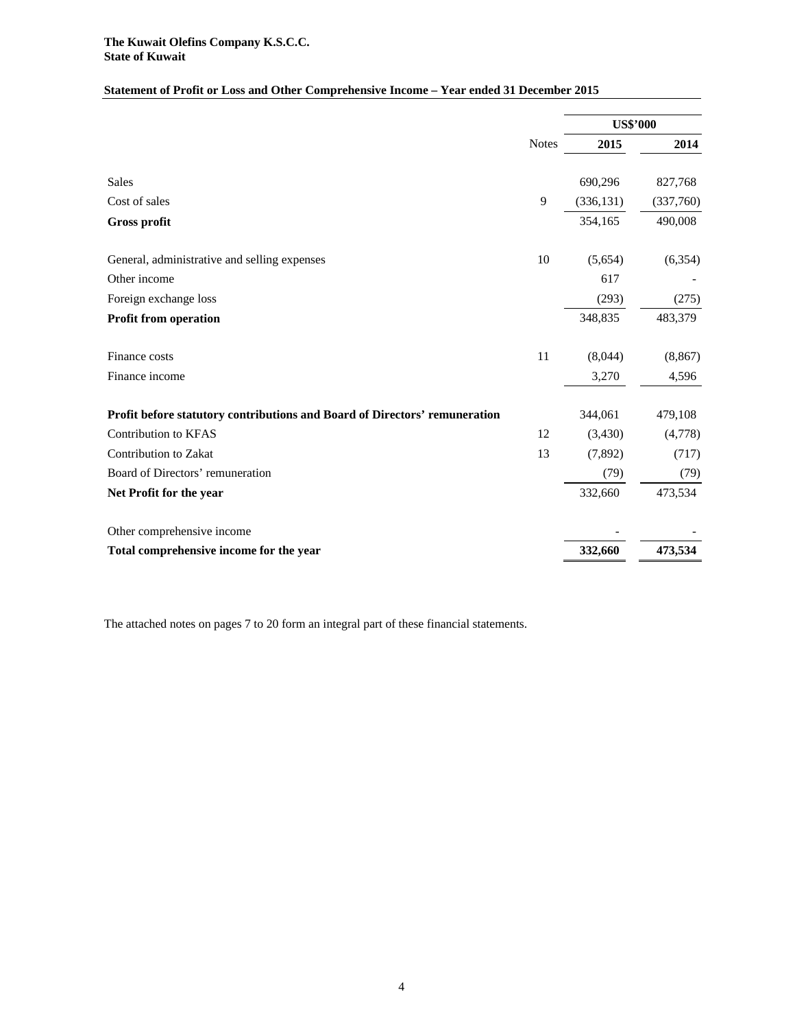## **Statement of Profit or Loss and Other Comprehensive Income – Year ended 31 December 2015**

|                                                                            |              | <b>US\$'000</b> |           |
|----------------------------------------------------------------------------|--------------|-----------------|-----------|
|                                                                            | <b>Notes</b> | 2015            | 2014      |
| <b>Sales</b>                                                               |              | 690,296         | 827,768   |
| Cost of sales                                                              | 9            | (336, 131)      | (337,760) |
| <b>Gross profit</b>                                                        |              | 354,165         | 490,008   |
| General, administrative and selling expenses                               | 10           | (5,654)         | (6, 354)  |
| Other income                                                               |              | 617             |           |
| Foreign exchange loss                                                      |              | (293)           | (275)     |
| <b>Profit from operation</b>                                               |              | 348,835         | 483,379   |
| Finance costs                                                              | 11           | (8,044)         | (8, 867)  |
| Finance income                                                             |              | 3,270           | 4,596     |
| Profit before statutory contributions and Board of Directors' remuneration |              | 344,061         | 479,108   |
| Contribution to KFAS                                                       | 12           | (3,430)         | (4,778)   |
| Contribution to Zakat                                                      | 13           | (7, 892)        | (717)     |
| Board of Directors' remuneration                                           |              | (79)            | (79)      |
| Net Profit for the year                                                    |              | 332,660         | 473,534   |
| Other comprehensive income                                                 |              |                 |           |
| Total comprehensive income for the year                                    |              | 332,660         | 473,534   |

The attached notes on pages 7 to 20 form an integral part of these financial statements.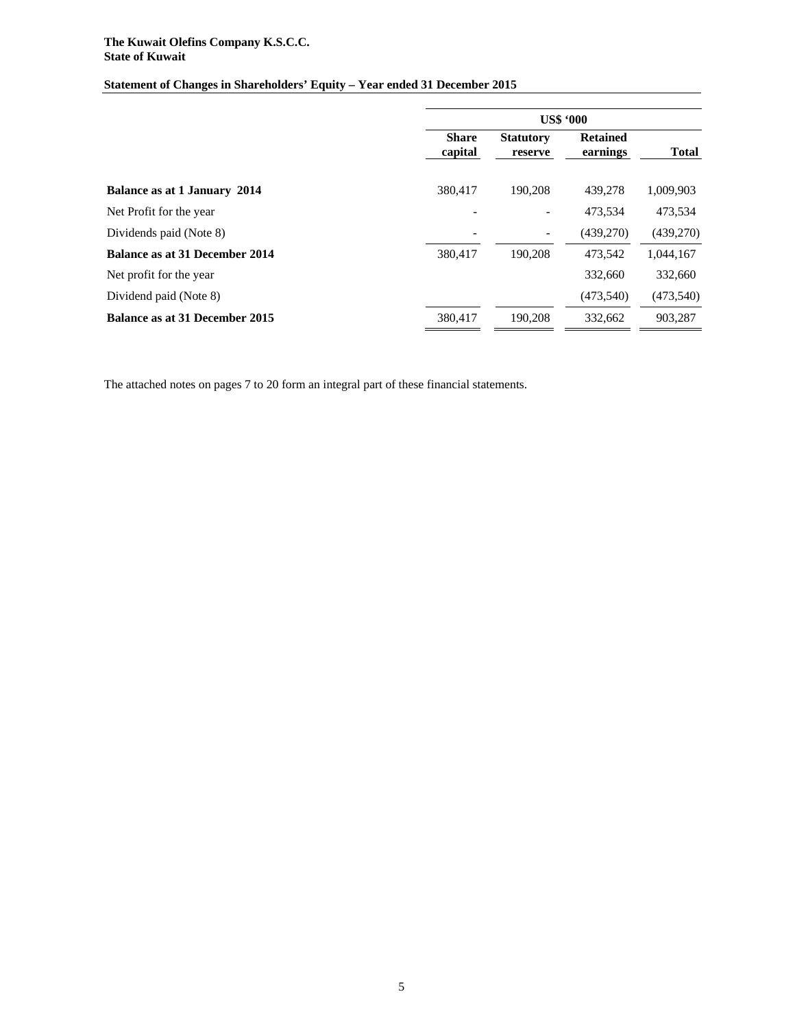## **The Kuwait Olefins Company K.S.C.C. State of Kuwait**

# **Statement of Changes in Shareholders' Equity** *–* **Year ended 31 December 2015**

|                                       | <b>US\$ '000</b>        |                             |                             |              |
|---------------------------------------|-------------------------|-----------------------------|-----------------------------|--------------|
|                                       | <b>Share</b><br>capital | <b>Statutory</b><br>reserve | <b>Retained</b><br>earnings | <b>Total</b> |
| Balance as at 1 January 2014          | 380,417                 | 190,208                     | 439,278                     | 1,009,903    |
| Net Profit for the year               |                         |                             | 473,534                     | 473.534      |
| Dividends paid (Note 8)               |                         |                             | (439,270)                   | (439,270)    |
| <b>Balance as at 31 December 2014</b> | 380,417                 | 190.208                     | 473,542                     | 1,044,167    |
| Net profit for the year               |                         |                             | 332,660                     | 332,660      |
| Dividend paid (Note 8)                |                         |                             | (473,540)                   | (473,540)    |
| Balance as at 31 December 2015        | 380,417                 | 190.208                     | 332,662                     | 903,287      |

The attached notes on pages 7 to 20 form an integral part of these financial statements.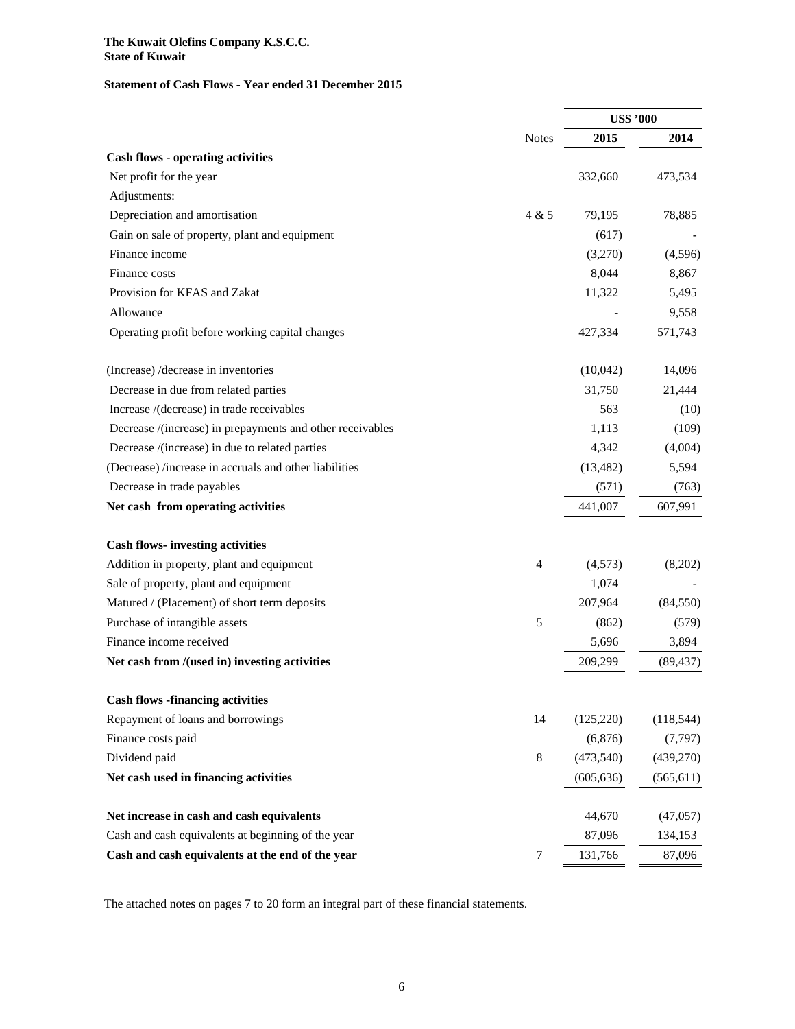## **The Kuwait Olefins Company K.S.C.C. State of Kuwait**

# **Statement of Cash Flows - Year ended 31 December 2015**

|                                                           |              | <b>US\$ '000</b> |            |
|-----------------------------------------------------------|--------------|------------------|------------|
|                                                           | <b>Notes</b> | 2015             | 2014       |
| <b>Cash flows - operating activities</b>                  |              |                  |            |
| Net profit for the year                                   |              | 332,660          | 473,534    |
| Adjustments:                                              |              |                  |            |
| Depreciation and amortisation                             | 4 & 5        | 79,195           | 78,885     |
| Gain on sale of property, plant and equipment             |              | (617)            |            |
| Finance income                                            |              | (3,270)          | (4,596)    |
| Finance costs                                             |              | 8,044            | 8,867      |
| Provision for KFAS and Zakat                              |              | 11,322           | 5,495      |
| Allowance                                                 |              |                  | 9,558      |
| Operating profit before working capital changes           |              | 427,334          | 571,743    |
| (Increase) /decrease in inventories                       |              | (10,042)         | 14,096     |
| Decrease in due from related parties                      |              | 31,750           | 21,444     |
| Increase /(decrease) in trade receivables                 |              | 563              | (10)       |
| Decrease /(increase) in prepayments and other receivables |              | 1,113            | (109)      |
| Decrease /(increase) in due to related parties            |              | 4,342            | (4,004)    |
| (Decrease) /increase in accruals and other liabilities    |              | (13, 482)        | 5,594      |
| Decrease in trade payables                                |              | (571)            | (763)      |
| Net cash from operating activities                        |              | 441,007          | 607,991    |
| <b>Cash flows-</b> investing activities                   |              |                  |            |
| Addition in property, plant and equipment                 | 4            | (4,573)          | (8,202)    |
| Sale of property, plant and equipment                     |              | 1,074            |            |
| Matured / (Placement) of short term deposits              |              | 207,964          | (84, 550)  |
| Purchase of intangible assets                             | 5            | (862)            | (579)      |
| Finance income received                                   |              | 5,696            | 3,894      |
| Net cash from /(used in) investing activities             |              | 209,299          | (89, 437)  |
| <b>Cash flows -financing activities</b>                   |              |                  |            |
| Repayment of loans and borrowings                         | 14           | (125, 220)       | (118, 544) |
| Finance costs paid                                        |              | (6,876)          | (7, 797)   |
| Dividend paid                                             | $\,8\,$      | (473,540)        | (439, 270) |
| Net cash used in financing activities                     |              | (605, 636)       | (565, 611) |
| Net increase in cash and cash equivalents                 |              | 44,670           | (47, 057)  |
| Cash and cash equivalents at beginning of the year        |              | 87,096           | 134,153    |
| Cash and cash equivalents at the end of the year          | $\tau$       | 131,766          | 87,096     |

The attached notes on pages 7 to 20 form an integral part of these financial statements.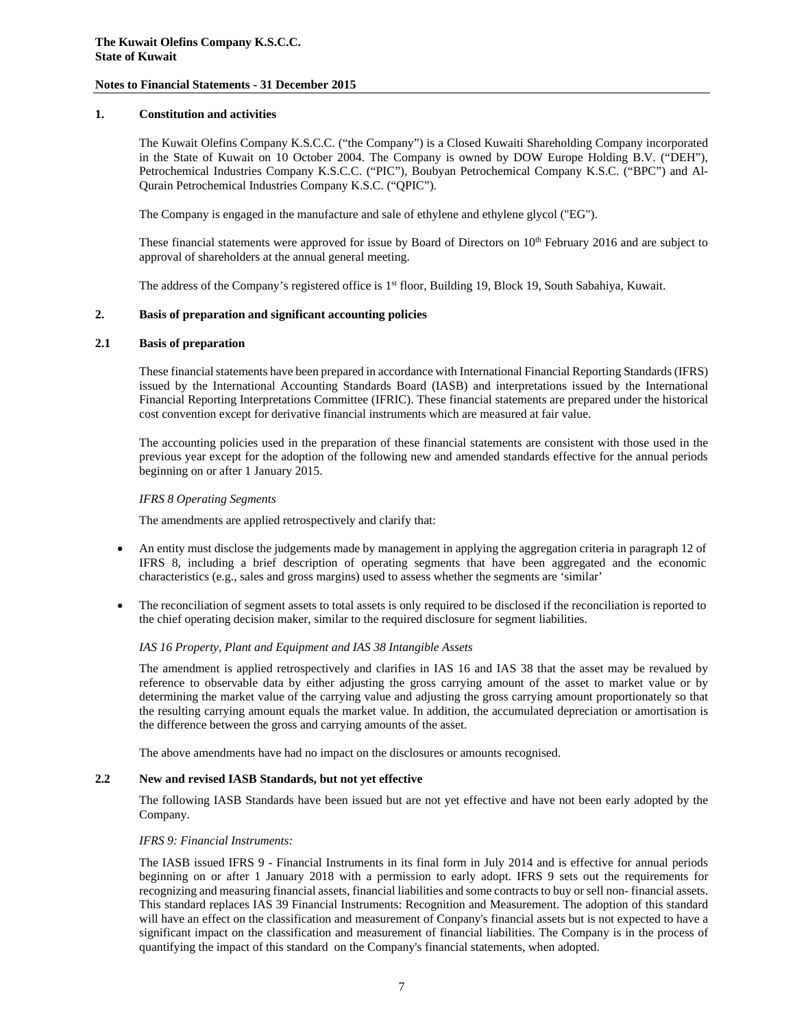## **1. Constitution and activities**

The Kuwait Olefins Company K.S.C.C. ("the Company") is a Closed Kuwaiti Shareholding Company incorporated in the State of Kuwait on 10 October 2004. The Company is owned by DOW Europe Holding B.V. ("DEH"), Petrochemical Industries Company K.S.C.C. ("PIC"), Boubyan Petrochemical Company K.S.C. ("BPC") and Al-Qurain Petrochemical Industries Company K.S.C. ("QPIC").

The Company is engaged in the manufacture and sale of ethylene and ethylene glycol ("EG").

These financial statements were approved for issue by Board of Directors on  $10<sup>th</sup>$  February 2016 and are subject to approval of shareholders at the annual general meeting.

The address of the Company's registered office is 1<sup>st</sup> floor, Building 19, Block 19, South Sabahiya, Kuwait.

## **2. Basis of preparation and significant accounting policies**

## **2.1 Basis of preparation**

These financial statements have been prepared in accordance with International Financial Reporting Standards (IFRS) issued by the International Accounting Standards Board (IASB) and interpretations issued by the International Financial Reporting Interpretations Committee (IFRIC). These financial statements are prepared under the historical cost convention except for derivative financial instruments which are measured at fair value.

The accounting policies used in the preparation of these financial statements are consistent with those used in the previous year except for the adoption of the following new and amended standards effective for the annual periods beginning on or after 1 January 2015.

#### *IFRS 8 Operating Segments*

The amendments are applied retrospectively and clarify that:

- An entity must disclose the judgements made by management in applying the aggregation criteria in paragraph 12 of IFRS 8, including a brief description of operating segments that have been aggregated and the economic characteristics (e.g., sales and gross margins) used to assess whether the segments are 'similar'
- The reconciliation of segment assets to total assets is only required to be disclosed if the reconciliation is reported to the chief operating decision maker, similar to the required disclosure for segment liabilities.

#### *IAS 16 Property, Plant and Equipment and IAS 38 Intangible Assets*

The amendment is applied retrospectively and clarifies in IAS 16 and IAS 38 that the asset may be revalued by reference to observable data by either adjusting the gross carrying amount of the asset to market value or by determining the market value of the carrying value and adjusting the gross carrying amount proportionately so that the resulting carrying amount equals the market value. In addition, the accumulated depreciation or amortisation is the difference between the gross and carrying amounts of the asset.

The above amendments have had no impact on the disclosures or amounts recognised.

### **2.2 New and revised IASB Standards, but not yet effective**

The following IASB Standards have been issued but are not yet effective and have not been early adopted by the Company.

#### *IFRS 9: Financial Instruments:*

The IASB issued IFRS 9 - Financial Instruments in its final form in July 2014 and is effective for annual periods beginning on or after 1 January 2018 with a permission to early adopt. IFRS 9 sets out the requirements for recognizing and measuring financial assets, financial liabilities and some contracts to buy or sell non- financial assets. This standard replaces IAS 39 Financial Instruments: Recognition and Measurement. The adoption of this standard will have an effect on the classification and measurement of Conpany's financial assets but is not expected to have a significant impact on the classification and measurement of financial liabilities. The Company is in the process of quantifying the impact of this standard on the Company's financial statements, when adopted.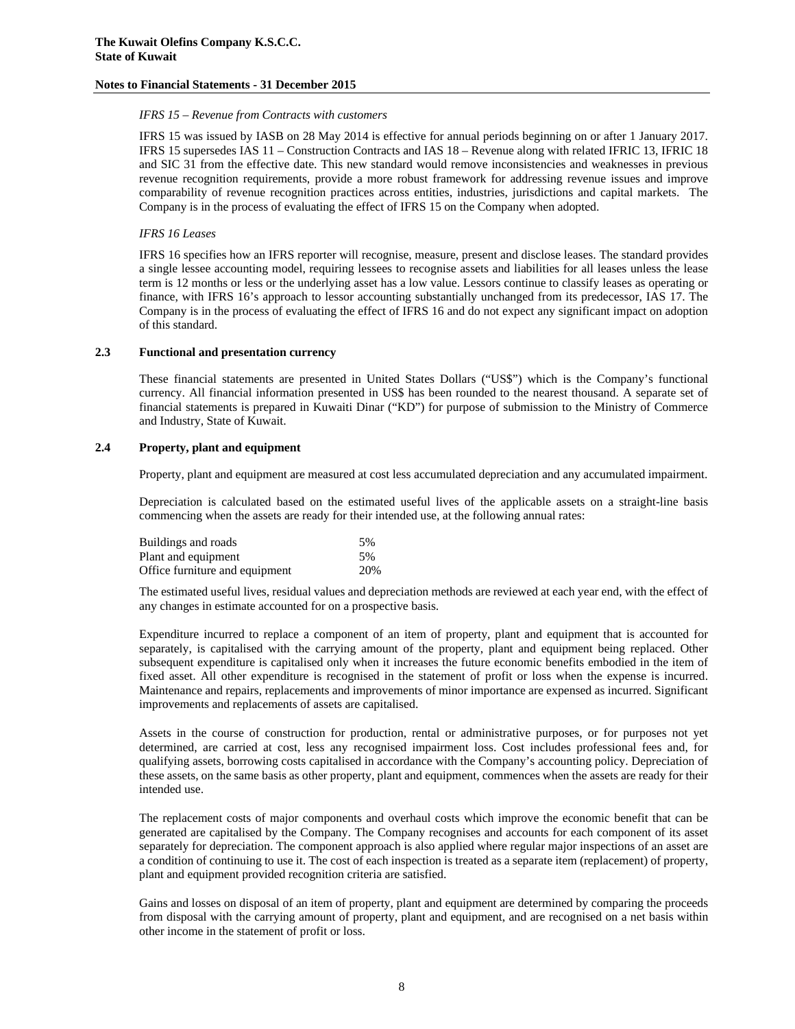#### *IFRS 15 – Revenue from Contracts with customers*

IFRS 15 was issued by IASB on 28 May 2014 is effective for annual periods beginning on or after 1 January 2017. IFRS 15 supersedes IAS 11 – Construction Contracts and IAS 18 – Revenue along with related IFRIC 13, IFRIC 18 and SIC 31 from the effective date. This new standard would remove inconsistencies and weaknesses in previous revenue recognition requirements, provide a more robust framework for addressing revenue issues and improve comparability of revenue recognition practices across entities, industries, jurisdictions and capital markets. The Company is in the process of evaluating the effect of IFRS 15 on the Company when adopted.

#### *IFRS 16 Leases*

IFRS 16 specifies how an IFRS reporter will recognise, measure, present and disclose leases. The standard provides a single lessee accounting model, requiring lessees to recognise assets and liabilities for all leases unless the lease term is 12 months or less or the underlying asset has a low value. Lessors continue to classify leases as operating or finance, with IFRS 16's approach to lessor accounting substantially unchanged from its predecessor, IAS 17. The Company is in the process of evaluating the effect of IFRS 16 and do not expect any significant impact on adoption of this standard.

#### **2.3 Functional and presentation currency**

These financial statements are presented in United States Dollars ("US\$") which is the Company's functional currency. All financial information presented in US\$ has been rounded to the nearest thousand. A separate set of financial statements is prepared in Kuwaiti Dinar ("KD") for purpose of submission to the Ministry of Commerce and Industry, State of Kuwait.

#### **2.4 Property, plant and equipment**

Property, plant and equipment are measured at cost less accumulated depreciation and any accumulated impairment.

Depreciation is calculated based on the estimated useful lives of the applicable assets on a straight-line basis commencing when the assets are ready for their intended use, at the following annual rates:

| Buildings and roads            | .5% |
|--------------------------------|-----|
| Plant and equipment            | 5%  |
| Office furniture and equipment | 20% |

The estimated useful lives, residual values and depreciation methods are reviewed at each year end, with the effect of any changes in estimate accounted for on a prospective basis.

Expenditure incurred to replace a component of an item of property, plant and equipment that is accounted for separately, is capitalised with the carrying amount of the property, plant and equipment being replaced. Other subsequent expenditure is capitalised only when it increases the future economic benefits embodied in the item of fixed asset. All other expenditure is recognised in the statement of profit or loss when the expense is incurred. Maintenance and repairs, replacements and improvements of minor importance are expensed as incurred. Significant improvements and replacements of assets are capitalised.

Assets in the course of construction for production, rental or administrative purposes, or for purposes not yet determined, are carried at cost, less any recognised impairment loss. Cost includes professional fees and, for qualifying assets, borrowing costs capitalised in accordance with the Company's accounting policy. Depreciation of these assets, on the same basis as other property, plant and equipment, commences when the assets are ready for their intended use.

The replacement costs of major components and overhaul costs which improve the economic benefit that can be generated are capitalised by the Company. The Company recognises and accounts for each component of its asset separately for depreciation. The component approach is also applied where regular major inspections of an asset are a condition of continuing to use it. The cost of each inspection is treated as a separate item (replacement) of property, plant and equipment provided recognition criteria are satisfied.

Gains and losses on disposal of an item of property, plant and equipment are determined by comparing the proceeds from disposal with the carrying amount of property, plant and equipment, and are recognised on a net basis within other income in the statement of profit or loss.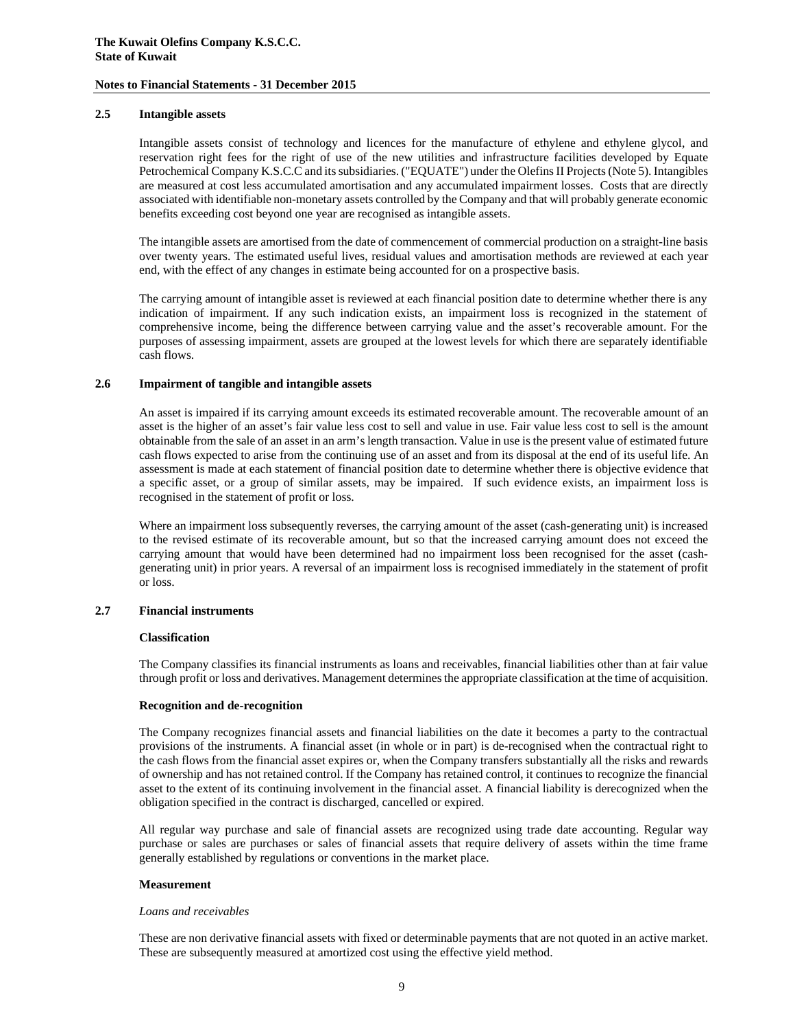## **2.5 Intangible assets**

Intangible assets consist of technology and licences for the manufacture of ethylene and ethylene glycol, and reservation right fees for the right of use of the new utilities and infrastructure facilities developed by Equate Petrochemical Company K.S.C.C and its subsidiaries. ("EQUATE") under the Olefins II Projects (Note 5). Intangibles are measured at cost less accumulated amortisation and any accumulated impairment losses. Costs that are directly associated with identifiable non-monetary assets controlled by the Company and that will probably generate economic benefits exceeding cost beyond one year are recognised as intangible assets.

The intangible assets are amortised from the date of commencement of commercial production on a straight-line basis over twenty years. The estimated useful lives, residual values and amortisation methods are reviewed at each year end, with the effect of any changes in estimate being accounted for on a prospective basis.

The carrying amount of intangible asset is reviewed at each financial position date to determine whether there is any indication of impairment. If any such indication exists, an impairment loss is recognized in the statement of comprehensive income, being the difference between carrying value and the asset's recoverable amount. For the purposes of assessing impairment, assets are grouped at the lowest levels for which there are separately identifiable cash flows.

#### **2.6 Impairment of tangible and intangible assets**

An asset is impaired if its carrying amount exceeds its estimated recoverable amount. The recoverable amount of an asset is the higher of an asset's fair value less cost to sell and value in use. Fair value less cost to sell is the amount obtainable from the sale of an asset in an arm's length transaction. Value in use is the present value of estimated future cash flows expected to arise from the continuing use of an asset and from its disposal at the end of its useful life. An assessment is made at each statement of financial position date to determine whether there is objective evidence that a specific asset, or a group of similar assets, may be impaired. If such evidence exists, an impairment loss is recognised in the statement of profit or loss.

Where an impairment loss subsequently reverses, the carrying amount of the asset (cash-generating unit) is increased to the revised estimate of its recoverable amount, but so that the increased carrying amount does not exceed the carrying amount that would have been determined had no impairment loss been recognised for the asset (cashgenerating unit) in prior years. A reversal of an impairment loss is recognised immediately in the statement of profit or loss.

## **2.7 Financial instruments**

#### **Classification**

The Company classifies its financial instruments as loans and receivables, financial liabilities other than at fair value through profit or loss and derivatives. Management determines the appropriate classification at the time of acquisition.

#### **Recognition and de-recognition**

The Company recognizes financial assets and financial liabilities on the date it becomes a party to the contractual provisions of the instruments. A financial asset (in whole or in part) is de-recognised when the contractual right to the cash flows from the financial asset expires or, when the Company transfers substantially all the risks and rewards of ownership and has not retained control. If the Company has retained control, it continues to recognize the financial asset to the extent of its continuing involvement in the financial asset. A financial liability is derecognized when the obligation specified in the contract is discharged, cancelled or expired.

All regular way purchase and sale of financial assets are recognized using trade date accounting. Regular way purchase or sales are purchases or sales of financial assets that require delivery of assets within the time frame generally established by regulations or conventions in the market place.

#### **Measurement**

#### *Loans and receivables*

These are non derivative financial assets with fixed or determinable payments that are not quoted in an active market. These are subsequently measured at amortized cost using the effective yield method.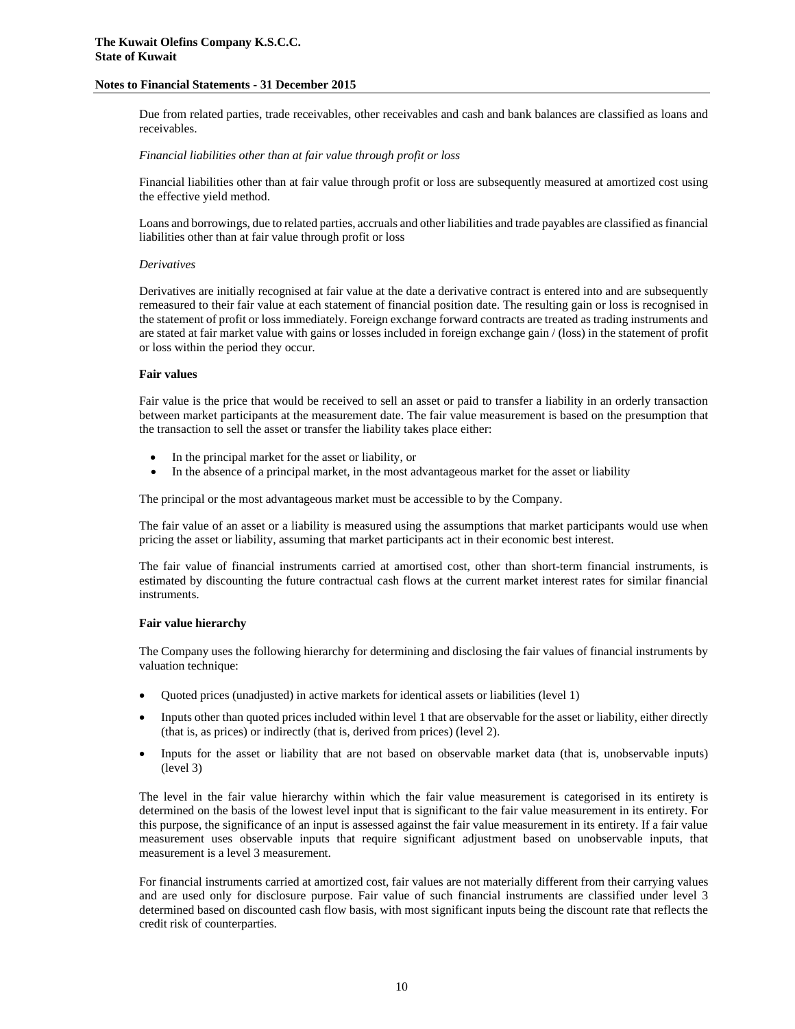Due from related parties, trade receivables, other receivables and cash and bank balances are classified as loans and receivables.

#### *Financial liabilities other than at fair value through profit or loss*

Financial liabilities other than at fair value through profit or loss are subsequently measured at amortized cost using the effective yield method.

Loans and borrowings, due to related parties, accruals and other liabilities and trade payables are classified as financial liabilities other than at fair value through profit or loss

#### *Derivatives*

Derivatives are initially recognised at fair value at the date a derivative contract is entered into and are subsequently remeasured to their fair value at each statement of financial position date. The resulting gain or loss is recognised in the statement of profit or loss immediately. Foreign exchange forward contracts are treated as trading instruments and are stated at fair market value with gains or losses included in foreign exchange gain / (loss) in the statement of profit or loss within the period they occur.

#### **Fair values**

Fair value is the price that would be received to sell an asset or paid to transfer a liability in an orderly transaction between market participants at the measurement date. The fair value measurement is based on the presumption that the transaction to sell the asset or transfer the liability takes place either:

- In the principal market for the asset or liability, or
- In the absence of a principal market, in the most advantageous market for the asset or liability

The principal or the most advantageous market must be accessible to by the Company.

The fair value of an asset or a liability is measured using the assumptions that market participants would use when pricing the asset or liability, assuming that market participants act in their economic best interest.

The fair value of financial instruments carried at amortised cost, other than short-term financial instruments, is estimated by discounting the future contractual cash flows at the current market interest rates for similar financial instruments.

#### **Fair value hierarchy**

The Company uses the following hierarchy for determining and disclosing the fair values of financial instruments by valuation technique:

- Quoted prices (unadjusted) in active markets for identical assets or liabilities (level 1)
- Inputs other than quoted prices included within level 1 that are observable for the asset or liability, either directly (that is, as prices) or indirectly (that is, derived from prices) (level 2).
- Inputs for the asset or liability that are not based on observable market data (that is, unobservable inputs) (level 3)

The level in the fair value hierarchy within which the fair value measurement is categorised in its entirety is determined on the basis of the lowest level input that is significant to the fair value measurement in its entirety. For this purpose, the significance of an input is assessed against the fair value measurement in its entirety. If a fair value measurement uses observable inputs that require significant adjustment based on unobservable inputs, that measurement is a level 3 measurement.

For financial instruments carried at amortized cost, fair values are not materially different from their carrying values and are used only for disclosure purpose. Fair value of such financial instruments are classified under level 3 determined based on discounted cash flow basis, with most significant inputs being the discount rate that reflects the credit risk of counterparties.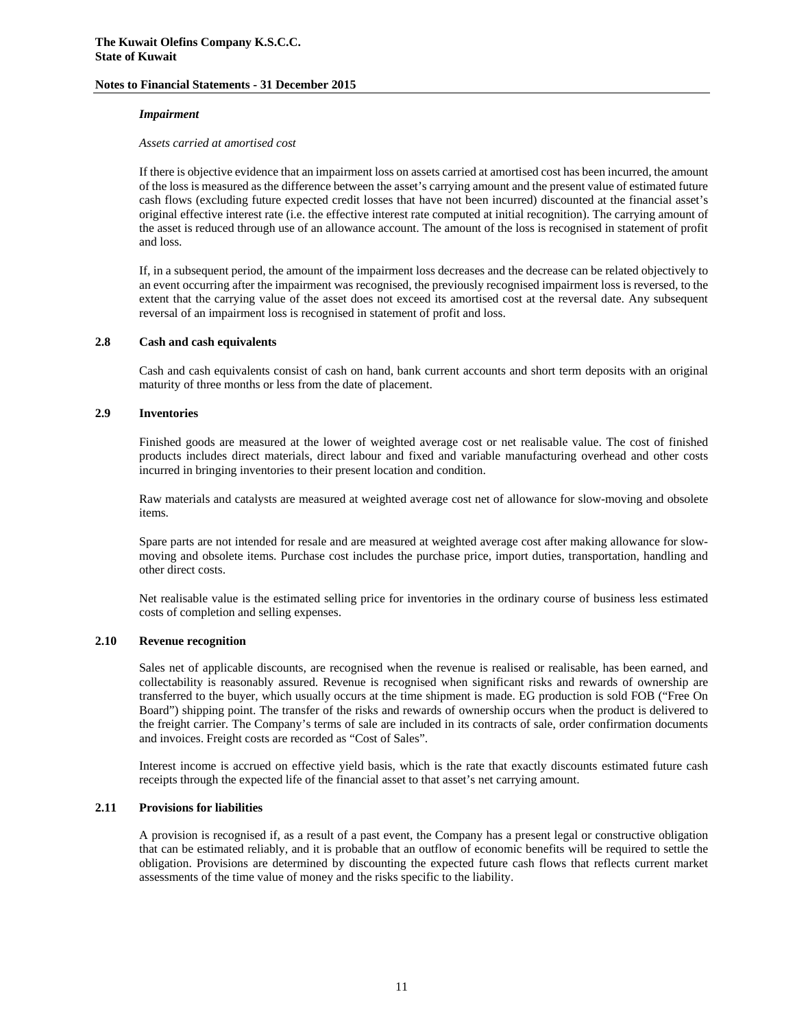#### *Impairment*

#### *Assets carried at amortised cost*

If there is objective evidence that an impairment loss on assets carried at amortised cost has been incurred, the amount of the loss is measured as the difference between the asset's carrying amount and the present value of estimated future cash flows (excluding future expected credit losses that have not been incurred) discounted at the financial asset's original effective interest rate (i.e. the effective interest rate computed at initial recognition). The carrying amount of the asset is reduced through use of an allowance account. The amount of the loss is recognised in statement of profit and loss.

If, in a subsequent period, the amount of the impairment loss decreases and the decrease can be related objectively to an event occurring after the impairment was recognised, the previously recognised impairment loss is reversed, to the extent that the carrying value of the asset does not exceed its amortised cost at the reversal date. Any subsequent reversal of an impairment loss is recognised in statement of profit and loss.

## **2.8 Cash and cash equivalents**

Cash and cash equivalents consist of cash on hand, bank current accounts and short term deposits with an original maturity of three months or less from the date of placement.

#### **2.9 Inventories**

Finished goods are measured at the lower of weighted average cost or net realisable value. The cost of finished products includes direct materials, direct labour and fixed and variable manufacturing overhead and other costs incurred in bringing inventories to their present location and condition.

Raw materials and catalysts are measured at weighted average cost net of allowance for slow-moving and obsolete items.

Spare parts are not intended for resale and are measured at weighted average cost after making allowance for slowmoving and obsolete items. Purchase cost includes the purchase price, import duties, transportation, handling and other direct costs.

Net realisable value is the estimated selling price for inventories in the ordinary course of business less estimated costs of completion and selling expenses.

#### **2.10 Revenue recognition**

Sales net of applicable discounts, are recognised when the revenue is realised or realisable, has been earned, and collectability is reasonably assured. Revenue is recognised when significant risks and rewards of ownership are transferred to the buyer, which usually occurs at the time shipment is made. EG production is sold FOB ("Free On Board") shipping point. The transfer of the risks and rewards of ownership occurs when the product is delivered to the freight carrier. The Company's terms of sale are included in its contracts of sale, order confirmation documents and invoices. Freight costs are recorded as "Cost of Sales".

Interest income is accrued on effective yield basis, which is the rate that exactly discounts estimated future cash receipts through the expected life of the financial asset to that asset's net carrying amount.

## **2.11 Provisions for liabilities**

A provision is recognised if, as a result of a past event, the Company has a present legal or constructive obligation that can be estimated reliably, and it is probable that an outflow of economic benefits will be required to settle the obligation. Provisions are determined by discounting the expected future cash flows that reflects current market assessments of the time value of money and the risks specific to the liability.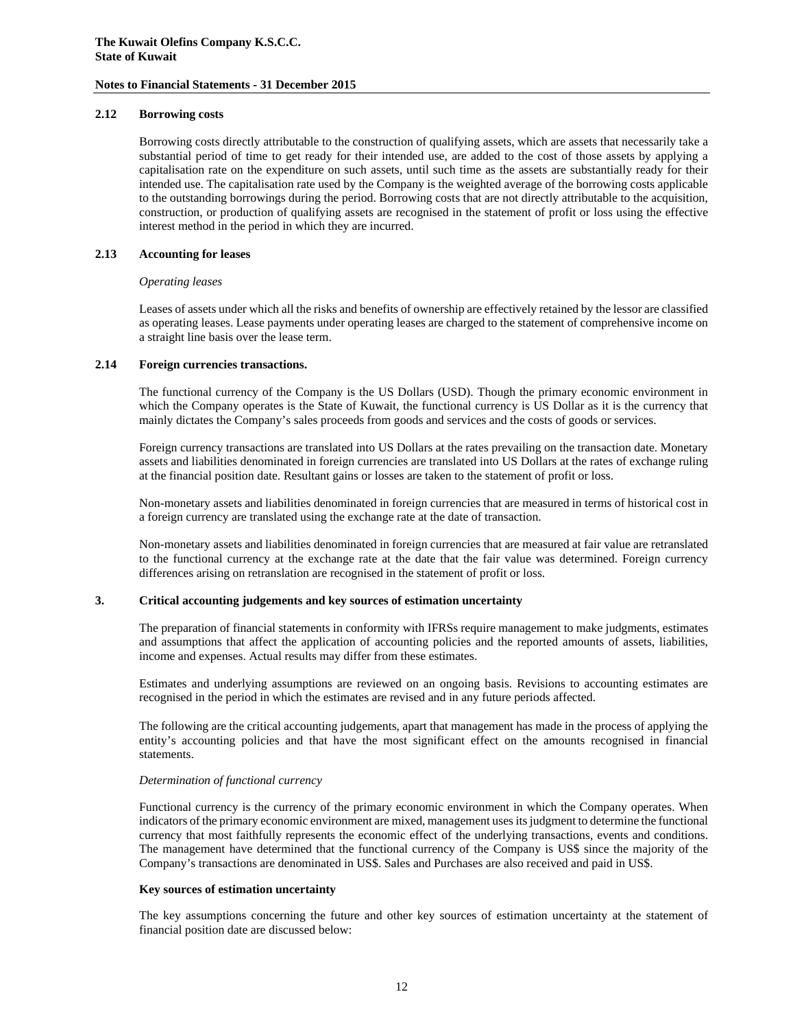## **2.12 Borrowing costs**

Borrowing costs directly attributable to the construction of qualifying assets, which are assets that necessarily take a substantial period of time to get ready for their intended use, are added to the cost of those assets by applying a capitalisation rate on the expenditure on such assets, until such time as the assets are substantially ready for their intended use. The capitalisation rate used by the Company is the weighted average of the borrowing costs applicable to the outstanding borrowings during the period. Borrowing costs that are not directly attributable to the acquisition, construction, or production of qualifying assets are recognised in the statement of profit or loss using the effective interest method in the period in which they are incurred.

## **2.13 Accounting for leases**

#### *Operating leases*

Leases of assets under which all the risks and benefits of ownership are effectively retained by the lessor are classified as operating leases. Lease payments under operating leases are charged to the statement of comprehensive income on a straight line basis over the lease term.

## **2.14 Foreign currencies transactions.**

The functional currency of the Company is the US Dollars (USD). Though the primary economic environment in which the Company operates is the State of Kuwait, the functional currency is US Dollar as it is the currency that mainly dictates the Company's sales proceeds from goods and services and the costs of goods or services.

Foreign currency transactions are translated into US Dollars at the rates prevailing on the transaction date. Monetary assets and liabilities denominated in foreign currencies are translated into US Dollars at the rates of exchange ruling at the financial position date. Resultant gains or losses are taken to the statement of profit or loss.

Non-monetary assets and liabilities denominated in foreign currencies that are measured in terms of historical cost in a foreign currency are translated using the exchange rate at the date of transaction.

Non-monetary assets and liabilities denominated in foreign currencies that are measured at fair value are retranslated to the functional currency at the exchange rate at the date that the fair value was determined. Foreign currency differences arising on retranslation are recognised in the statement of profit or loss.

#### **3. Critical accounting judgements and key sources of estimation uncertainty**

The preparation of financial statements in conformity with IFRSs require management to make judgments, estimates and assumptions that affect the application of accounting policies and the reported amounts of assets, liabilities, income and expenses. Actual results may differ from these estimates.

Estimates and underlying assumptions are reviewed on an ongoing basis. Revisions to accounting estimates are recognised in the period in which the estimates are revised and in any future periods affected.

The following are the critical accounting judgements, apart that management has made in the process of applying the entity's accounting policies and that have the most significant effect on the amounts recognised in financial statements.

#### *Determination of functional currency*

Functional currency is the currency of the primary economic environment in which the Company operates. When indicators of the primary economic environment are mixed, management uses its judgment to determine the functional currency that most faithfully represents the economic effect of the underlying transactions, events and conditions. The management have determined that the functional currency of the Company is US\$ since the majority of the Company's transactions are denominated in US\$. Sales and Purchases are also received and paid in US\$.

#### **Key sources of estimation uncertainty**

The key assumptions concerning the future and other key sources of estimation uncertainty at the statement of financial position date are discussed below: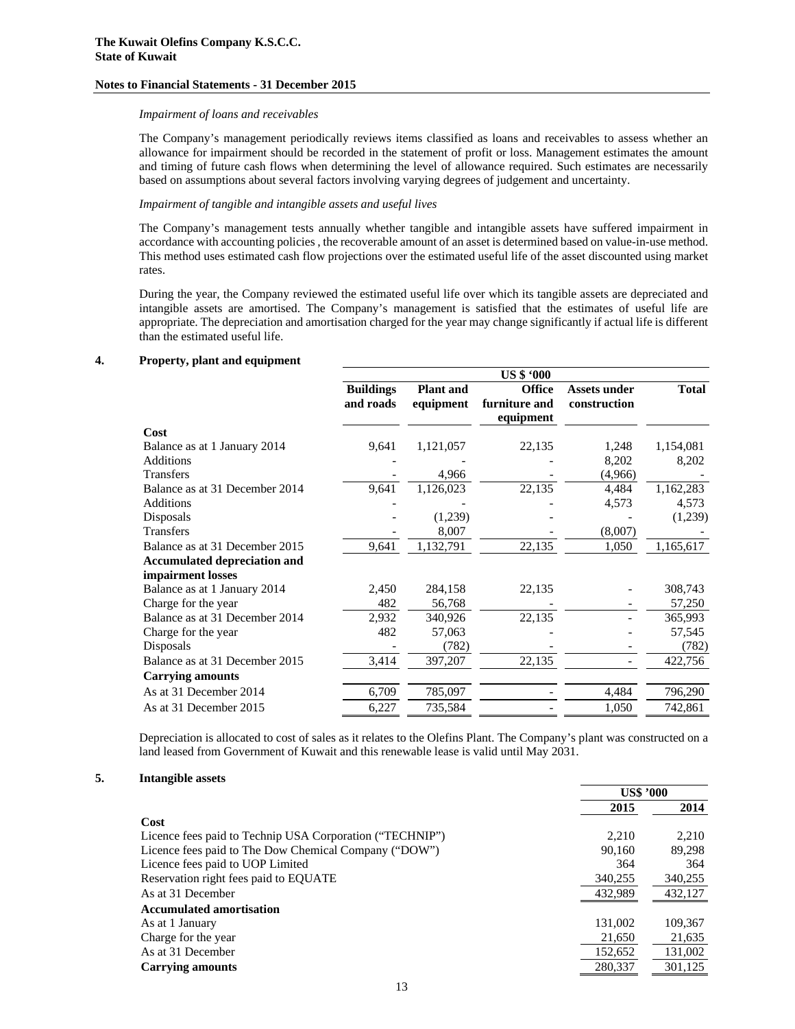#### *Impairment of loans and receivables*

The Company's management periodically reviews items classified as loans and receivables to assess whether an allowance for impairment should be recorded in the statement of profit or loss. Management estimates the amount and timing of future cash flows when determining the level of allowance required. Such estimates are necessarily based on assumptions about several factors involving varying degrees of judgement and uncertainty.

## *Impairment of tangible and intangible assets and useful lives*

The Company's management tests annually whether tangible and intangible assets have suffered impairment in accordance with accounting policies , the recoverable amount of an asset is determined based on value-in-use method. This method uses estimated cash flow projections over the estimated useful life of the asset discounted using market rates.

During the year, the Company reviewed the estimated useful life over which its tangible assets are depreciated and intangible assets are amortised. The Company's management is satisfied that the estimates of useful life are appropriate. The depreciation and amortisation charged for the year may change significantly if actual life is different than the estimated useful life.

## **4. Property, plant and equipment**

|                                     |                               |                               | <b>US \$ '000</b>                           |                                     |              |
|-------------------------------------|-------------------------------|-------------------------------|---------------------------------------------|-------------------------------------|--------------|
|                                     | <b>Buildings</b><br>and roads | <b>Plant</b> and<br>equipment | <b>Office</b><br>furniture and<br>equipment | <b>Assets under</b><br>construction | <b>Total</b> |
| Cost                                |                               |                               |                                             |                                     |              |
| Balance as at 1 January 2014        | 9,641                         | 1,121,057                     | 22,135                                      | 1,248                               | 1,154,081    |
| Additions                           |                               |                               |                                             | 8,202                               | 8,202        |
| <b>Transfers</b>                    |                               | 4,966                         |                                             | (4,966)                             |              |
| Balance as at 31 December 2014      | 9,641                         | 1,126,023                     | 22,135                                      | 4,484                               | 1,162,283    |
| Additions                           |                               |                               |                                             | 4,573                               | 4,573        |
| Disposals                           |                               | (1,239)                       |                                             |                                     | (1,239)      |
| <b>Transfers</b>                    |                               | 8,007                         |                                             | (8,007)                             |              |
| Balance as at 31 December 2015      | 9,641                         | 1,132,791                     | 22,135                                      | 1,050                               | 1,165,617    |
| <b>Accumulated depreciation and</b> |                               |                               |                                             |                                     |              |
| impairment losses                   |                               |                               |                                             |                                     |              |
| Balance as at 1 January 2014        | 2,450                         | 284,158                       | 22,135                                      |                                     | 308,743      |
| Charge for the year                 | 482                           | 56,768                        |                                             |                                     | 57,250       |
| Balance as at 31 December 2014      | 2,932                         | 340,926                       | 22,135                                      |                                     | 365,993      |
| Charge for the year                 | 482                           | 57,063                        |                                             |                                     | 57,545       |
| Disposals                           |                               | (782)                         |                                             |                                     | (782)        |
| Balance as at 31 December 2015      | 3,414                         | 397,207                       | 22,135                                      |                                     | 422,756      |
| <b>Carrying amounts</b>             |                               |                               |                                             |                                     |              |
| As at 31 December 2014              | 6,709                         | 785,097                       |                                             | 4,484                               | 796,290      |
| As at 31 December 2015              | 6,227                         | 735,584                       |                                             | 1,050                               | 742,861      |

Depreciation is allocated to cost of sales as it relates to the Olefins Plant. The Company's plant was constructed on a land leased from Government of Kuwait and this renewable lease is valid until May 2031.

## **5. Intangible assets**

|                                                          | <b>US\$ '000</b> |         |
|----------------------------------------------------------|------------------|---------|
|                                                          | 2015             | 2014    |
| Cost                                                     |                  |         |
| Licence fees paid to Technip USA Corporation ("TECHNIP") | 2.210            | 2,210   |
| Licence fees paid to The Dow Chemical Company ("DOW")    | 90.160           | 89,298  |
| Licence fees paid to UOP Limited                         | 364              | 364     |
| Reservation right fees paid to EQUATE                    | 340,255          | 340,255 |
| As at 31 December                                        | 432,989          | 432,127 |
| <b>Accumulated amortisation</b>                          |                  |         |
| As at 1 January                                          | 131.002          | 109,367 |
| Charge for the year                                      | 21,650           | 21,635  |
| As at 31 December                                        | 152,652          | 131,002 |
| <b>Carrying amounts</b>                                  | 280,337          | 301,125 |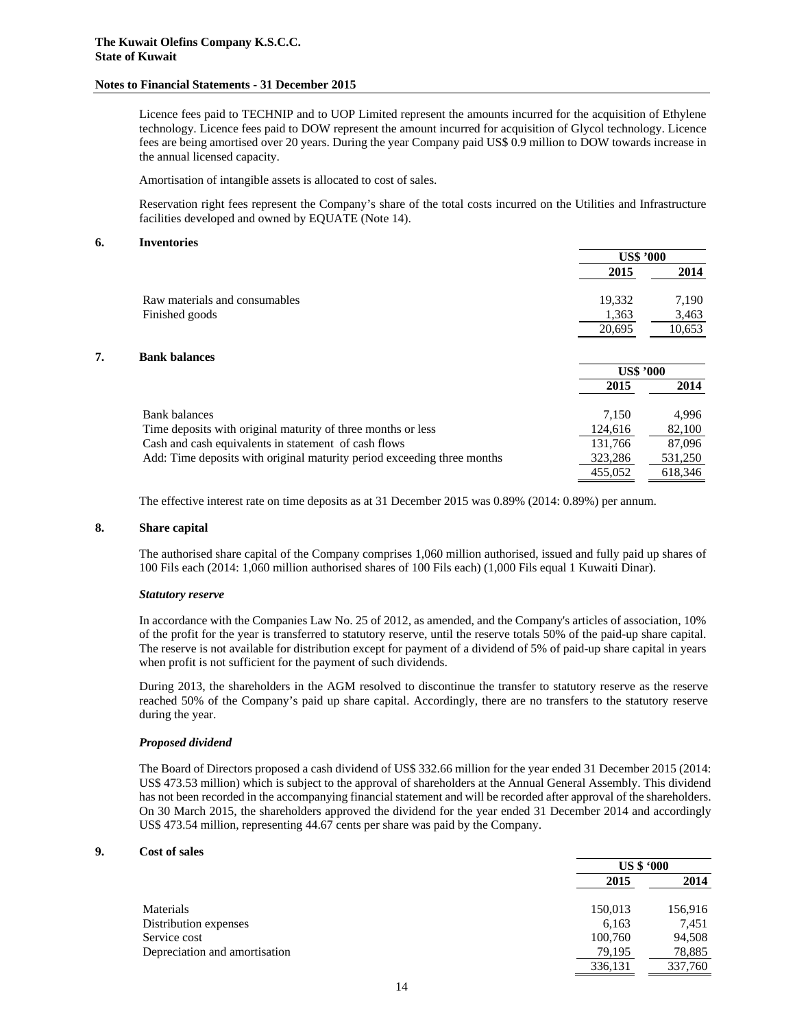Licence fees paid to TECHNIP and to UOP Limited represent the amounts incurred for the acquisition of Ethylene technology. Licence fees paid to DOW represent the amount incurred for acquisition of Glycol technology. Licence fees are being amortised over 20 years. During the year Company paid US\$ 0.9 million to DOW towards increase in the annual licensed capacity.

Amortisation of intangible assets is allocated to cost of sales.

Reservation right fees represent the Company's share of the total costs incurred on the Utilities and Infrastructure facilities developed and owned by EQUATE (Note 14).

## **6. Inventories**

|    |                                                                         | <b>US\$ '000</b> |         |
|----|-------------------------------------------------------------------------|------------------|---------|
|    |                                                                         | 2015             | 2014    |
|    | Raw materials and consumables                                           | 19,332           | 7,190   |
|    | Finished goods                                                          | 1,363            | 3,463   |
|    |                                                                         | 20,695           | 10,653  |
| 7. | <b>Bank balances</b>                                                    |                  |         |
|    |                                                                         | <b>US\$ '000</b> |         |
|    |                                                                         | 2015             | 2014    |
|    |                                                                         |                  |         |
|    | Bank balances                                                           | 7,150            | 4,996   |
|    | Time deposits with original maturity of three months or less            | 124.616          | 82,100  |
|    | Cash and cash equivalents in statement of cash flows                    | 131,766          | 87,096  |
|    | Add: Time deposits with original maturity period exceeding three months | 323,286          | 531,250 |
|    |                                                                         |                  |         |

The effective interest rate on time deposits as at 31 December 2015 was 0.89% (2014: 0.89%) per annum.

## **8. Share capital**

The authorised share capital of the Company comprises 1,060 million authorised, issued and fully paid up shares of 100 Fils each (2014: 1,060 million authorised shares of 100 Fils each) (1,000 Fils equal 1 Kuwaiti Dinar).

#### *Statutory reserve*

In accordance with the Companies Law No. 25 of 2012, as amended, and the Company's articles of association, 10% of the profit for the year is transferred to statutory reserve, until the reserve totals 50% of the paid-up share capital. The reserve is not available for distribution except for payment of a dividend of 5% of paid-up share capital in years when profit is not sufficient for the payment of such dividends.

During 2013, the shareholders in the AGM resolved to discontinue the transfer to statutory reserve as the reserve reached 50% of the Company's paid up share capital. Accordingly, there are no transfers to the statutory reserve during the year.

#### *Proposed dividend*

The Board of Directors proposed a cash dividend of US\$ 332.66 million for the year ended 31 December 2015 (2014: US\$ 473.53 million) which is subject to the approval of shareholders at the Annual General Assembly. This dividend has not been recorded in the accompanying financial statement and will be recorded after approval of the shareholders. On 30 March 2015, the shareholders approved the dividend for the year ended 31 December 2014 and accordingly US\$ 473.54 million, representing 44.67 cents per share was paid by the Company.

## **9. Cost of sales**

|                               | <b>US \$ '000</b> |         |
|-------------------------------|-------------------|---------|
|                               | 2015              | 2014    |
| Materials                     | 150,013           | 156,916 |
| Distribution expenses         | 6,163             | 7,451   |
| Service cost                  | 100,760           | 94,508  |
| Depreciation and amortisation | 79,195            | 78,885  |
|                               | 336,131           | 337,760 |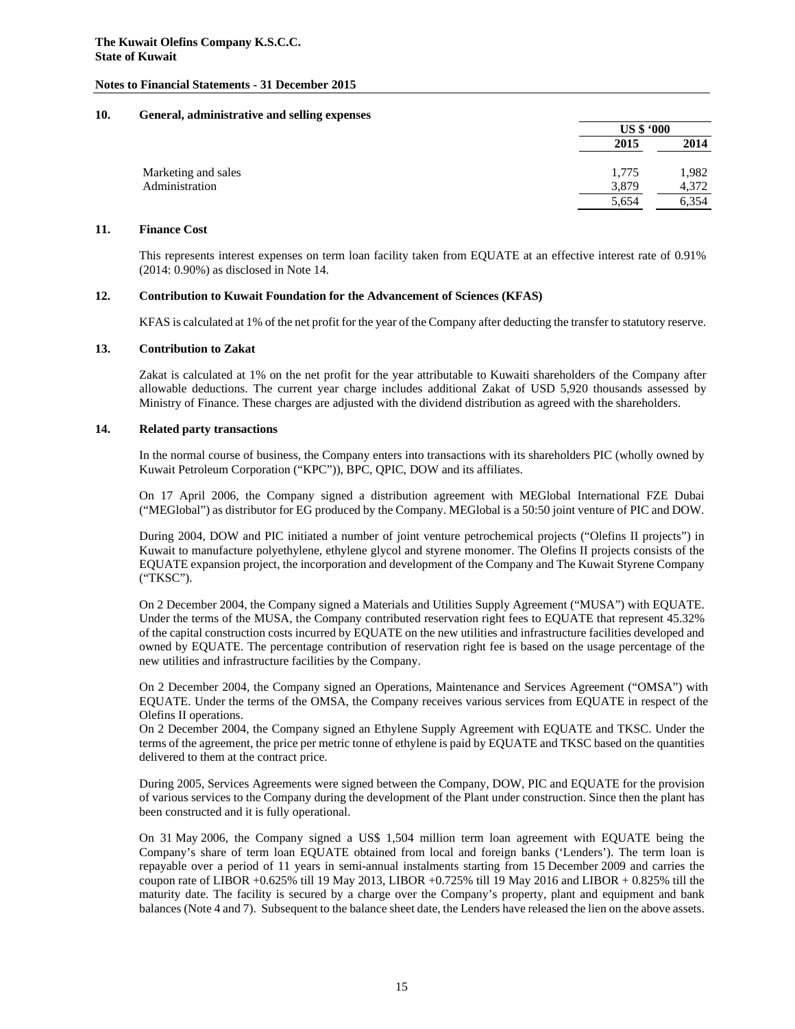## **10. General, administrative and selling expenses**

|                     | <b>US \$ '000</b> |       |
|---------------------|-------------------|-------|
|                     | 2015              | 2014  |
| Marketing and sales | 1,775             | 1,982 |
| Administration      | 3,879             | 4,372 |
|                     | 5,654             | 6.354 |

#### **11. Finance Cost**

This represents interest expenses on term loan facility taken from EQUATE at an effective interest rate of 0.91% (2014: 0.90%) as disclosed in Note 14.

#### **12. Contribution to Kuwait Foundation for the Advancement of Sciences (KFAS)**

KFAS is calculated at 1% of the net profit for the year of the Company after deducting the transfer to statutory reserve.

#### **13. Contribution to Zakat**

Zakat is calculated at 1% on the net profit for the year attributable to Kuwaiti shareholders of the Company after allowable deductions. The current year charge includes additional Zakat of USD 5,920 thousands assessed by Ministry of Finance. These charges are adjusted with the dividend distribution as agreed with the shareholders.

## **14. Related party transactions**

In the normal course of business, the Company enters into transactions with its shareholders PIC (wholly owned by Kuwait Petroleum Corporation ("KPC")), BPC, QPIC, DOW and its affiliates.

On 17 April 2006, the Company signed a distribution agreement with MEGlobal International FZE Dubai ("MEGlobal") as distributor for EG produced by the Company. MEGlobal is a 50:50 joint venture of PIC and DOW.

During 2004, DOW and PIC initiated a number of joint venture petrochemical projects ("Olefins II projects") in Kuwait to manufacture polyethylene, ethylene glycol and styrene monomer. The Olefins II projects consists of the EQUATE expansion project, the incorporation and development of the Company and The Kuwait Styrene Company ("TKSC").

On 2 December 2004, the Company signed a Materials and Utilities Supply Agreement ("MUSA") with EQUATE. Under the terms of the MUSA, the Company contributed reservation right fees to EQUATE that represent 45.32% of the capital construction costs incurred by EQUATE on the new utilities and infrastructure facilities developed and owned by EQUATE. The percentage contribution of reservation right fee is based on the usage percentage of the new utilities and infrastructure facilities by the Company.

On 2 December 2004, the Company signed an Operations, Maintenance and Services Agreement ("OMSA") with EQUATE. Under the terms of the OMSA, the Company receives various services from EQUATE in respect of the Olefins II operations.

On 2 December 2004, the Company signed an Ethylene Supply Agreement with EQUATE and TKSC. Under the terms of the agreement, the price per metric tonne of ethylene is paid by EQUATE and TKSC based on the quantities delivered to them at the contract price.

During 2005, Services Agreements were signed between the Company, DOW, PIC and EQUATE for the provision of various services to the Company during the development of the Plant under construction. Since then the plant has been constructed and it is fully operational.

On 31 May 2006, the Company signed a US\$ 1,504 million term loan agreement with EQUATE being the Company's share of term loan EQUATE obtained from local and foreign banks ('Lenders'). The term loan is repayable over a period of 11 years in semi-annual instalments starting from 15 December 2009 and carries the coupon rate of LIBOR +0.625% till 19 May 2013, LIBOR +0.725% till 19 May 2016 and LIBOR + 0.825% till the maturity date. The facility is secured by a charge over the Company's property, plant and equipment and bank balances (Note 4 and 7). Subsequent to the balance sheet date, the Lenders have released the lien on the above assets.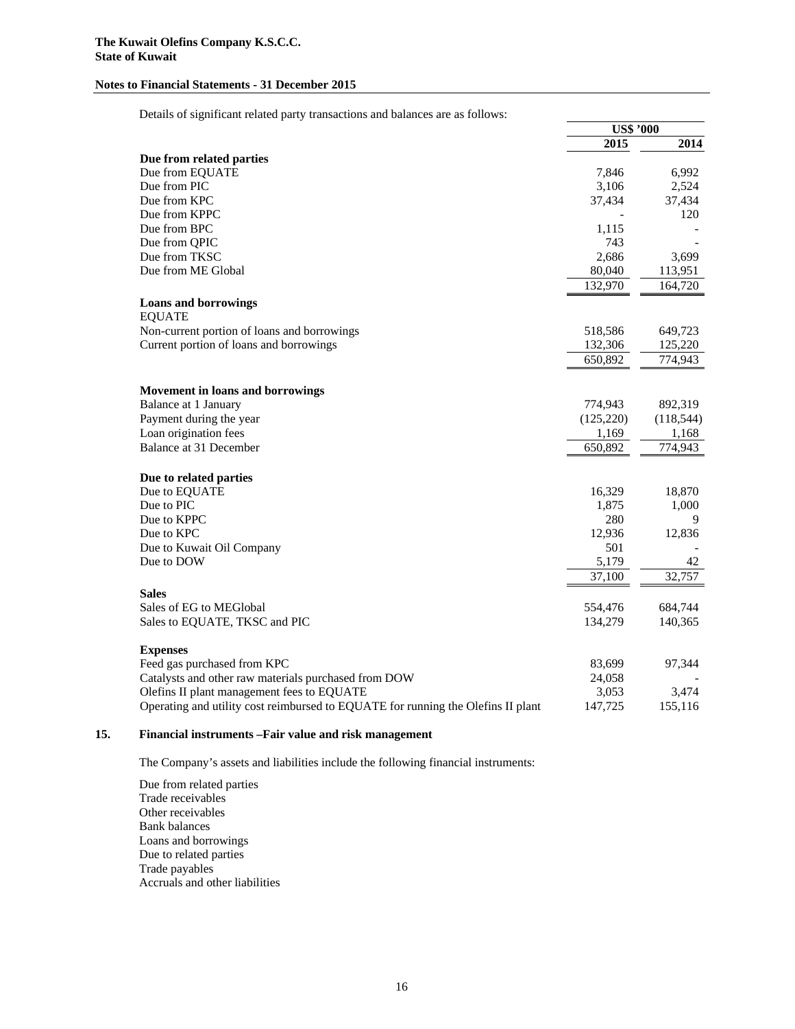Details of significant related party transactions and balances are as follows:

|                                                                                  | <b>US\$ '000</b> |            |
|----------------------------------------------------------------------------------|------------------|------------|
|                                                                                  | 2015             | 2014       |
| Due from related parties                                                         |                  |            |
| Due from EQUATE                                                                  | 7,846            | 6,992      |
| Due from PIC                                                                     | 3,106            | 2,524      |
| Due from KPC                                                                     | 37,434           | 37,434     |
| Due from KPPC                                                                    |                  | 120        |
| Due from BPC                                                                     | 1,115            |            |
| Due from QPIC                                                                    | 743              |            |
| Due from TKSC                                                                    | 2,686            | 3,699      |
| Due from ME Global                                                               | 80,040           | 113,951    |
|                                                                                  | 132,970          | 164,720    |
| <b>Loans and borrowings</b>                                                      |                  |            |
| <b>EQUATE</b>                                                                    |                  |            |
| Non-current portion of loans and borrowings                                      | 518,586          | 649,723    |
| Current portion of loans and borrowings                                          | 132,306          | 125,220    |
|                                                                                  | 650,892          | 774,943    |
|                                                                                  |                  |            |
| Movement in loans and borrowings                                                 |                  |            |
| Balance at 1 January                                                             | 774,943          | 892,319    |
| Payment during the year                                                          | (125, 220)       | (118, 544) |
| Loan origination fees                                                            | 1,169            | 1,168      |
| Balance at 31 December                                                           | 650,892          | 774,943    |
|                                                                                  |                  |            |
| Due to related parties                                                           |                  |            |
| Due to EQUATE                                                                    | 16,329           | 18,870     |
| Due to PIC                                                                       | 1,875            | 1,000      |
| Due to KPPC                                                                      | 280              | 9          |
| Due to KPC                                                                       | 12,936           | 12,836     |
| Due to Kuwait Oil Company                                                        | 501              |            |
| Due to DOW                                                                       | 5,179            | 42         |
|                                                                                  | 37,100           | 32,757     |
| <b>Sales</b>                                                                     |                  |            |
| Sales of EG to MEGlobal                                                          | 554,476          | 684,744    |
| Sales to EQUATE, TKSC and PIC                                                    | 134,279          | 140,365    |
|                                                                                  |                  |            |
| <b>Expenses</b>                                                                  |                  |            |
| Feed gas purchased from KPC                                                      | 83,699           | 97,344     |
| Catalysts and other raw materials purchased from DOW                             | 24,058           |            |
| Olefins II plant management fees to EQUATE                                       | 3,053            | 3,474      |
| Operating and utility cost reimbursed to EQUATE for running the Olefins II plant | 147,725          | 155,116    |

## **15. Financial instruments –Fair value and risk management**

The Company's assets and liabilities include the following financial instruments:

Due from related parties Trade receivables Other receivables Bank balances Loans and borrowings Due to related parties Trade payables Accruals and other liabilities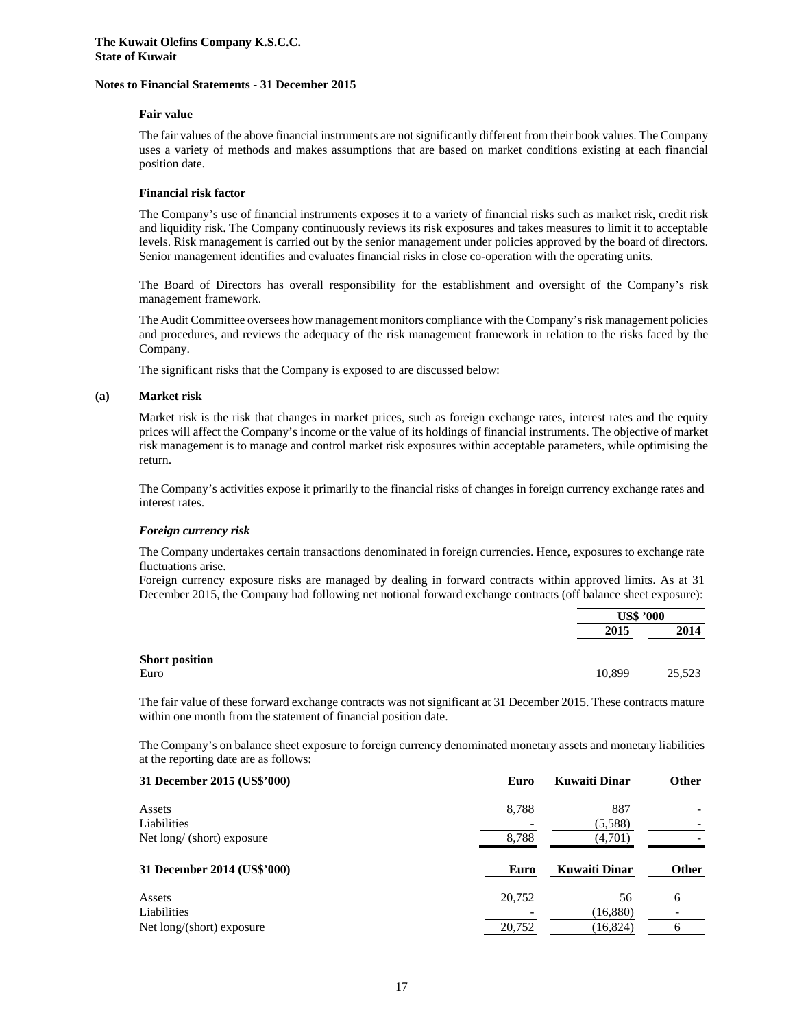#### **Fair value**

The fair values of the above financial instruments are not significantly different from their book values. The Company uses a variety of methods and makes assumptions that are based on market conditions existing at each financial position date.

## **Financial risk factor**

The Company's use of financial instruments exposes it to a variety of financial risks such as market risk, credit risk and liquidity risk. The Company continuously reviews its risk exposures and takes measures to limit it to acceptable levels. Risk management is carried out by the senior management under policies approved by the board of directors. Senior management identifies and evaluates financial risks in close co-operation with the operating units.

The Board of Directors has overall responsibility for the establishment and oversight of the Company's risk management framework.

The Audit Committee oversees how management monitors compliance with the Company's risk management policies and procedures, and reviews the adequacy of the risk management framework in relation to the risks faced by the Company.

The significant risks that the Company is exposed to are discussed below:

#### **(a) Market risk**

Market risk is the risk that changes in market prices, such as foreign exchange rates, interest rates and the equity prices will affect the Company's income or the value of its holdings of financial instruments. The objective of market risk management is to manage and control market risk exposures within acceptable parameters, while optimising the return.

The Company's activities expose it primarily to the financial risks of changes in foreign currency exchange rates and interest rates.

#### *Foreign currency risk*

The Company undertakes certain transactions denominated in foreign currencies. Hence, exposures to exchange rate fluctuations arise.

Foreign currency exposure risks are managed by dealing in forward contracts within approved limits. As at 31 December 2015, the Company had following net notional forward exchange contracts (off balance sheet exposure):

|                               | <b>US\$ '000</b> |        |
|-------------------------------|------------------|--------|
|                               | 2015             | 2014   |
| <b>Short position</b><br>Euro | 10,899           | 25,523 |

The fair value of these forward exchange contracts was not significant at 31 December 2015. These contracts mature within one month from the statement of financial position date.

The Company's on balance sheet exposure to foreign currency denominated monetary assets and monetary liabilities at the reporting date are as follows:

| 31 December 2015 (US\$'000) | Euro        | <b>Kuwaiti Dinar</b> | <b>Other</b> |
|-----------------------------|-------------|----------------------|--------------|
| Assets                      | 8,788       | 887                  |              |
| Liabilities                 |             | (5,588)              |              |
| Net long/ (short) exposure  | 8.788       | (4,701)              |              |
| 31 December 2014 (US\$'000) | <b>Euro</b> | <b>Kuwaiti Dinar</b> | <b>Other</b> |
| Assets                      | 20.752      | 56                   | 6            |
| Liabilities                 |             | (16,880)             |              |
| Net long/(short) exposure   | 20,752      | (16, 824)            |              |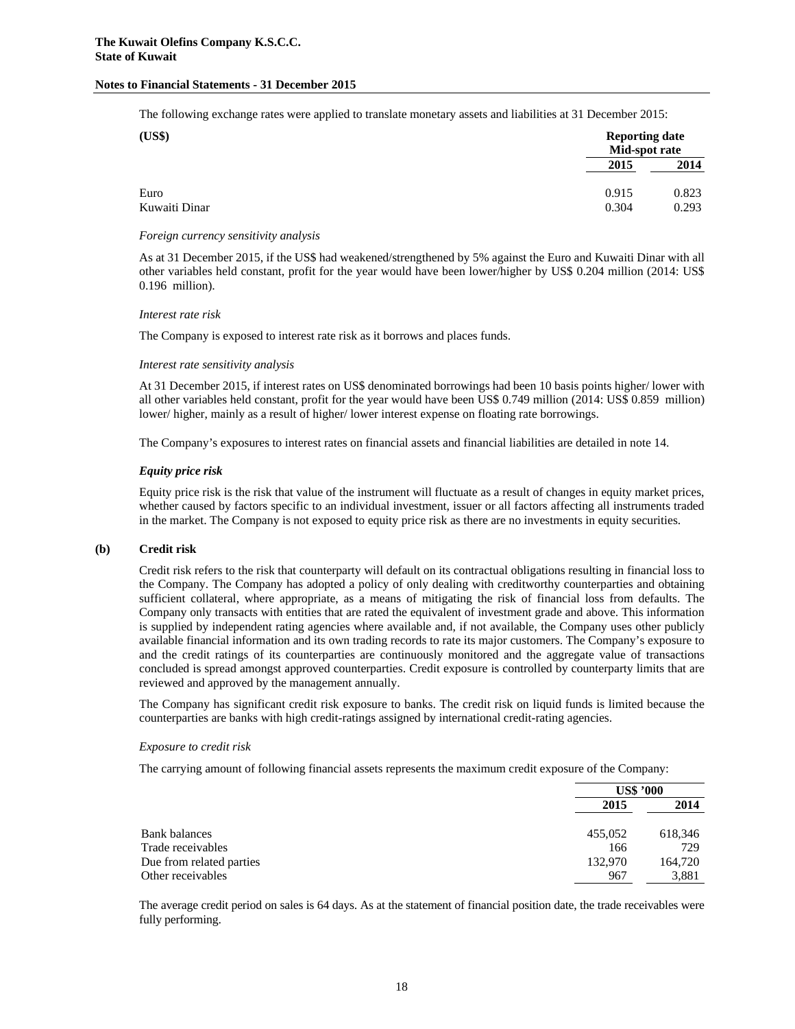The following exchange rates were applied to translate monetary assets and liabilities at 31 December 2015:

| (US\$)                |                | <b>Reporting date</b><br>Mid-spot rate |  |
|-----------------------|----------------|----------------------------------------|--|
|                       | 2015           | 2014                                   |  |
| Euro<br>Kuwaiti Dinar | 0.915<br>0.304 | 0.823<br>0.293                         |  |

#### *Foreign currency sensitivity analysis*

As at 31 December 2015, if the US\$ had weakened/strengthened by 5% against the Euro and Kuwaiti Dinar with all other variables held constant, profit for the year would have been lower/higher by US\$ 0.204 million (2014: US\$ 0.196 million).

#### *Interest rate risk*

The Company is exposed to interest rate risk as it borrows and places funds.

## *Interest rate sensitivity analysis*

At 31 December 2015, if interest rates on US\$ denominated borrowings had been 10 basis points higher/ lower with all other variables held constant, profit for the year would have been US\$ 0.749 million (2014: US\$ 0.859 million) lower/ higher, mainly as a result of higher/ lower interest expense on floating rate borrowings.

The Company's exposures to interest rates on financial assets and financial liabilities are detailed in note 14.

#### *Equity price risk*

Equity price risk is the risk that value of the instrument will fluctuate as a result of changes in equity market prices, whether caused by factors specific to an individual investment, issuer or all factors affecting all instruments traded in the market. The Company is not exposed to equity price risk as there are no investments in equity securities.

## **(b) Credit risk**

Credit risk refers to the risk that counterparty will default on its contractual obligations resulting in financial loss to the Company. The Company has adopted a policy of only dealing with creditworthy counterparties and obtaining sufficient collateral, where appropriate, as a means of mitigating the risk of financial loss from defaults. The Company only transacts with entities that are rated the equivalent of investment grade and above. This information is supplied by independent rating agencies where available and, if not available, the Company uses other publicly available financial information and its own trading records to rate its major customers. The Company's exposure to and the credit ratings of its counterparties are continuously monitored and the aggregate value of transactions concluded is spread amongst approved counterparties. Credit exposure is controlled by counterparty limits that are reviewed and approved by the management annually.

The Company has significant credit risk exposure to banks. The credit risk on liquid funds is limited because the counterparties are banks with high credit-ratings assigned by international credit-rating agencies.

#### *Exposure to credit risk*

The carrying amount of following financial assets represents the maximum credit exposure of the Company:

|                          |         | <b>US\$ '000</b> |  |
|--------------------------|---------|------------------|--|
|                          | 2015    | 2014             |  |
| <b>Bank balances</b>     | 455,052 | 618,346          |  |
| Trade receivables        | 166     | 729              |  |
| Due from related parties | 132,970 | 164,720          |  |
| Other receivables        | 967     | 3,881            |  |

The average credit period on sales is 64 days. As at the statement of financial position date, the trade receivables were fully performing.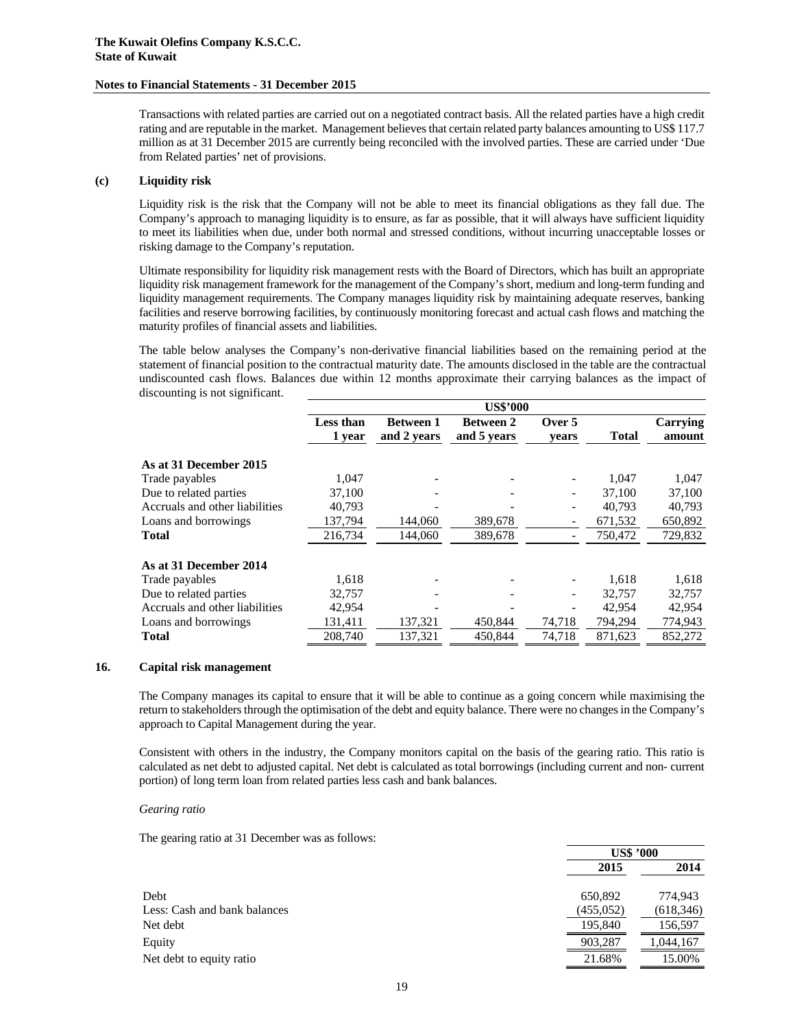Transactions with related parties are carried out on a negotiated contract basis. All the related parties have a high credit rating and are reputable in the market. Management believes that certain related party balances amounting to US\$ 117.7 million as at 31 December 2015 are currently being reconciled with the involved parties. These are carried under 'Due from Related parties' net of provisions.

#### **(c) Liquidity risk**

Liquidity risk is the risk that the Company will not be able to meet its financial obligations as they fall due. The Company's approach to managing liquidity is to ensure, as far as possible, that it will always have sufficient liquidity to meet its liabilities when due, under both normal and stressed conditions, without incurring unacceptable losses or risking damage to the Company's reputation.

Ultimate responsibility for liquidity risk management rests with the Board of Directors, which has built an appropriate liquidity risk management framework for the management of the Company's short, medium and long-term funding and liquidity management requirements. The Company manages liquidity risk by maintaining adequate reserves, banking facilities and reserve borrowing facilities, by continuously monitoring forecast and actual cash flows and matching the maturity profiles of financial assets and liabilities.

The table below analyses the Company's non-derivative financial liabilities based on the remaining period at the statement of financial position to the contractual maturity date. The amounts disclosed in the table are the contractual undiscounted cash flows. Balances due within 12 months approximate their carrying balances as the impact of discounting is not significant.

|                                | <b>US\$'000</b>  |                  |                  |        |              |          |
|--------------------------------|------------------|------------------|------------------|--------|--------------|----------|
|                                | <b>Less than</b> | <b>Between 1</b> | <b>Between 2</b> | Over 5 |              | Carrying |
|                                | 1 year           | and 2 years      | and 5 years      | vears  | <b>Total</b> | amount   |
| As at 31 December 2015         |                  |                  |                  |        |              |          |
| Trade payables                 | 1,047            |                  |                  |        | 1,047        | 1,047    |
| Due to related parties         | 37,100           |                  |                  |        | 37,100       | 37,100   |
| Accruals and other liabilities | 40.793           |                  |                  |        | 40.793       | 40.793   |
| Loans and borrowings           | 137,794          | 144,060          | 389,678          |        | 671,532      | 650,892  |
| <b>Total</b>                   | 216,734          | 144,060          | 389,678          |        | 750,472      | 729,832  |
| As at 31 December 2014         |                  |                  |                  |        |              |          |
| Trade payables                 | 1,618            |                  |                  |        | 1.618        | 1,618    |
| Due to related parties         | 32,757           |                  |                  |        | 32,757       | 32,757   |
| Accruals and other liabilities | 42,954           |                  |                  |        | 42,954       | 42,954   |
| Loans and borrowings           | 131,411          | 137,321          | 450,844          | 74,718 | 794,294      | 774,943  |
| <b>Total</b>                   | 208,740          | 137,321          | 450,844          | 74,718 | 871,623      | 852,272  |

## **16. Capital risk management**

The Company manages its capital to ensure that it will be able to continue as a going concern while maximising the return to stakeholders through the optimisation of the debt and equity balance. There were no changes in the Company's approach to Capital Management during the year.

Consistent with others in the industry, the Company monitors capital on the basis of the gearing ratio. This ratio is calculated as net debt to adjusted capital. Net debt is calculated as total borrowings (including current and non- current portion) of long term loan from related parties less cash and bank balances.

#### *Gearing ratio*

The gearing ratio at 31 December was as follows:

|                              |            | <b>US\$ '000</b> |  |
|------------------------------|------------|------------------|--|
|                              | 2015       | 2014             |  |
| Debt                         | 650,892    | 774.943          |  |
| Less: Cash and bank balances | (455, 052) | (618, 346)       |  |
| Net debt                     | 195,840    | 156,597          |  |
| Equity                       | 903,287    | .044,167         |  |
| Net debt to equity ratio     | 21.68%     | 15.00%           |  |